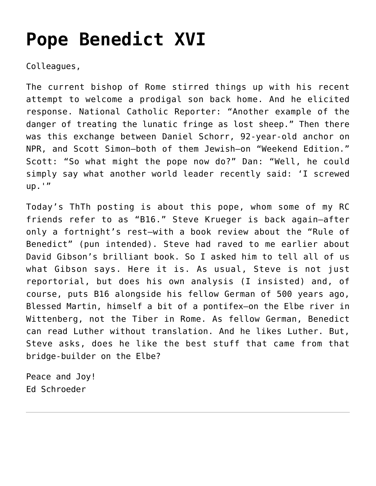## **[Pope Benedict XVI](https://crossings.org/pope-benedict-xvi/)**

Colleagues,

The current bishop of Rome stirred things up with his recent attempt to welcome a prodigal son back home. And he elicited response. National Catholic Reporter: "Another example of the danger of treating the lunatic fringe as lost sheep." Then there was this exchange between Daniel Schorr, 92-year-old anchor on NPR, and Scott Simon–both of them Jewish–on "Weekend Edition." Scott: "So what might the pope now do?" Dan: "Well, he could simply say what another world leader recently said: 'I screwed up.'"

Today's ThTh posting is about this pope, whom some of my RC friends refer to as "B16." Steve Krueger is back again–after only a fortnight's rest–with a book review about the "Rule of Benedict" (pun intended). Steve had raved to me earlier about David Gibson's brilliant book. So I asked him to tell all of us what Gibson says. Here it is. As usual, Steve is not just reportorial, but does his own analysis (I insisted) and, of course, puts B16 alongside his fellow German of 500 years ago, Blessed Martin, himself a bit of a pontifex–on the Elbe river in Wittenberg, not the Tiber in Rome. As fellow German, Benedict can read Luther without translation. And he likes Luther. But, Steve asks, does he like the best stuff that came from that bridge-builder on the Elbe?

Peace and Joy! Ed Schroeder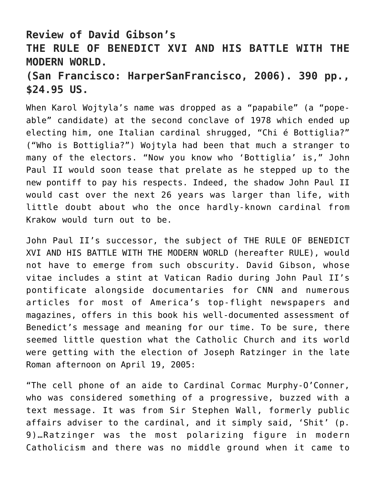## **Review of David Gibson's THE RULE OF BENEDICT XVI AND HIS BATTLE WITH THE MODERN WORLD.**

## **(San Francisco: HarperSanFrancisco, 2006). 390 pp., \$24.95 US.**

When Karol Wojtyla's name was dropped as a "papabile" (a "popeable" candidate) at the second conclave of 1978 which ended up electing him, one Italian cardinal shrugged, "Chi é Bottiglia?" ("Who is Bottiglia?") Wojtyla had been that much a stranger to many of the electors. "Now you know who 'Bottiglia' is," John Paul II would soon tease that prelate as he stepped up to the new pontiff to pay his respects. Indeed, the shadow John Paul II would cast over the next 26 years was larger than life, with little doubt about who the once hardly-known cardinal from Krakow would turn out to be.

John Paul II's successor, the subject of THE RULE OF BENEDICT XVI AND HIS BATTLE WITH THE MODERN WORLD (hereafter RULE), would not have to emerge from such obscurity. David Gibson, whose vitae includes a stint at Vatican Radio during John Paul II's pontificate alongside documentaries for CNN and numerous articles for most of America's top-flight newspapers and magazines, offers in this book his well-documented assessment of Benedict's message and meaning for our time. To be sure, there seemed little question what the Catholic Church and its world were getting with the election of Joseph Ratzinger in the late Roman afternoon on April 19, 2005:

"The cell phone of an aide to Cardinal Cormac Murphy-O'Conner, who was considered something of a progressive, buzzed with a text message. It was from Sir Stephen Wall, formerly public affairs adviser to the cardinal, and it simply said, 'Shit' (p. 9)…Ratzinger was the most polarizing figure in modern Catholicism and there was no middle ground when it came to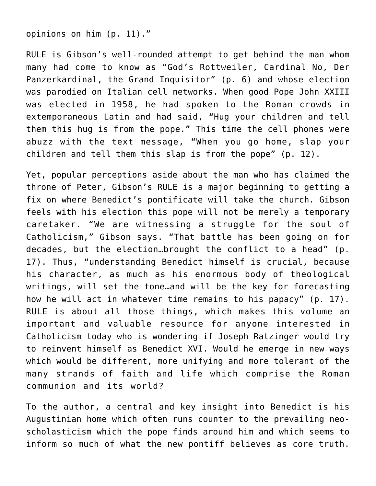opinions on him (p. 11)."

RULE is Gibson's well-rounded attempt to get behind the man whom many had come to know as "God's Rottweiler, Cardinal No, Der Panzerkardinal, the Grand Inquisitor" (p. 6) and whose election was parodied on Italian cell networks. When good Pope John XXIII was elected in 1958, he had spoken to the Roman crowds in extemporaneous Latin and had said, "Hug your children and tell them this hug is from the pope." This time the cell phones were abuzz with the text message, "When you go home, slap your children and tell them this slap is from the pope" (p. 12).

Yet, popular perceptions aside about the man who has claimed the throne of Peter, Gibson's RULE is a major beginning to getting a fix on where Benedict's pontificate will take the church. Gibson feels with his election this pope will not be merely a temporary caretaker. "We are witnessing a struggle for the soul of Catholicism," Gibson says. "That battle has been going on for decades, but the election…brought the conflict to a head" (p. 17). Thus, "understanding Benedict himself is crucial, because his character, as much as his enormous body of theological writings, will set the tone…and will be the key for forecasting how he will act in whatever time remains to his papacy" (p. 17). RULE is about all those things, which makes this volume an important and valuable resource for anyone interested in Catholicism today who is wondering if Joseph Ratzinger would try to reinvent himself as Benedict XVI. Would he emerge in new ways which would be different, more unifying and more tolerant of the many strands of faith and life which comprise the Roman communion and its world?

To the author, a central and key insight into Benedict is his Augustinian home which often runs counter to the prevailing neoscholasticism which the pope finds around him and which seems to inform so much of what the new pontiff believes as core truth.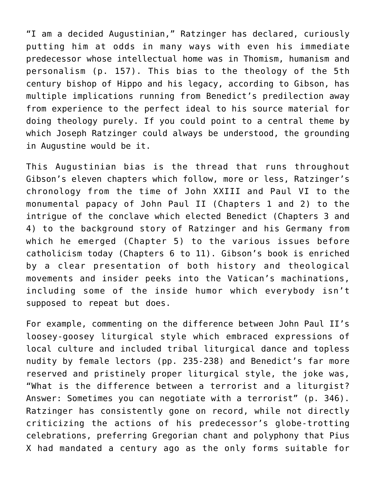"I am a decided Augustinian," Ratzinger has declared, curiously putting him at odds in many ways with even his immediate predecessor whose intellectual home was in Thomism, humanism and personalism (p. 157). This bias to the theology of the 5th century bishop of Hippo and his legacy, according to Gibson, has multiple implications running from Benedict's predilection away from experience to the perfect ideal to his source material for doing theology purely. If you could point to a central theme by which Joseph Ratzinger could always be understood, the grounding in Augustine would be it.

This Augustinian bias is the thread that runs throughout Gibson's eleven chapters which follow, more or less, Ratzinger's chronology from the time of John XXIII and Paul VI to the monumental papacy of John Paul II (Chapters 1 and 2) to the intrigue of the conclave which elected Benedict (Chapters 3 and 4) to the background story of Ratzinger and his Germany from which he emerged (Chapter 5) to the various issues before catholicism today (Chapters 6 to 11). Gibson's book is enriched by a clear presentation of both history and theological movements and insider peeks into the Vatican's machinations, including some of the inside humor which everybody isn't supposed to repeat but does.

For example, commenting on the difference between John Paul II's loosey-goosey liturgical style which embraced expressions of local culture and included tribal liturgical dance and topless nudity by female lectors (pp. 235-238) and Benedict's far more reserved and pristinely proper liturgical style, the joke was, "What is the difference between a terrorist and a liturgist? Answer: Sometimes you can negotiate with a terrorist" (p. 346). Ratzinger has consistently gone on record, while not directly criticizing the actions of his predecessor's globe-trotting celebrations, preferring Gregorian chant and polyphony that Pius X had mandated a century ago as the only forms suitable for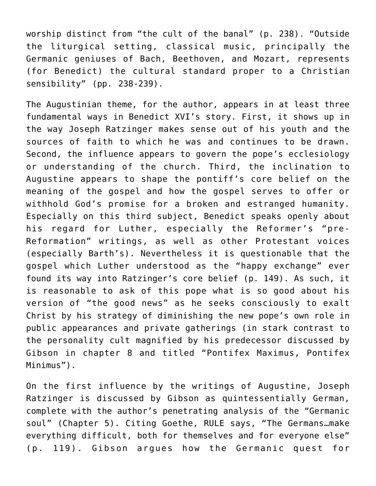worship distinct from "the cult of the banal" (p. 238). "Outside the liturgical setting, classical music, principally the Germanic geniuses of Bach, Beethoven, and Mozart, represents (for Benedict) the cultural standard proper to a Christian sensibility" (pp. 238-239).

The Augustinian theme, for the author, appears in at least three fundamental ways in Benedict XVI's story. First, it shows up in the way Joseph Ratzinger makes sense out of his youth and the sources of faith to which he was and continues to be drawn. Second, the influence appears to govern the pope's ecclesiology or understanding of the church. Third, the inclination to Augustine appears to shape the pontiff's core belief on the meaning of the gospel and how the gospel serves to offer or withhold God's promise for a broken and estranged humanity. Especially on this third subject, Benedict speaks openly about his regard for Luther, especially the Reformer's "pre-Reformation" writings, as well as other Protestant voices (especially Barth's). Nevertheless it is questionable that the gospel which Luther understood as the "happy exchange" ever found its way into Ratzinger's core belief (p. 149). As such, it is reasonable to ask of this pope what is so good about his version of "the good news" as he seeks consciously to exalt Christ by his strategy of diminishing the new pope's own role in public appearances and private gatherings (in stark contrast to the personality cult magnified by his predecessor discussed by Gibson in chapter 8 and titled "Pontifex Maximus, Pontifex Minimus").

On the first influence by the writings of Augustine, Joseph Ratzinger is discussed by Gibson as quintessentially German, complete with the author's penetrating analysis of the "Germanic soul" (Chapter 5). Citing Goethe, RULE says, "The Germans…make everything difficult, both for themselves and for everyone else" (p. 119). Gibson argues how the Germanic quest for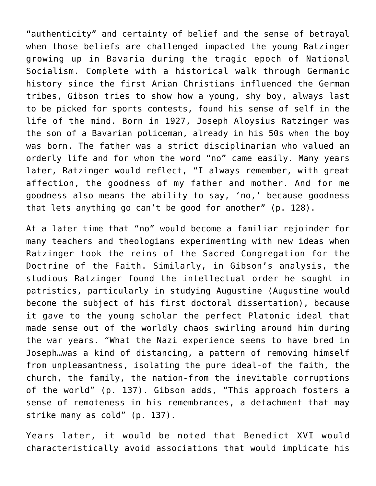"authenticity" and certainty of belief and the sense of betrayal when those beliefs are challenged impacted the young Ratzinger growing up in Bavaria during the tragic epoch of National Socialism. Complete with a historical walk through Germanic history since the first Arian Christians influenced the German tribes, Gibson tries to show how a young, shy boy, always last to be picked for sports contests, found his sense of self in the life of the mind. Born in 1927, Joseph Aloysius Ratzinger was the son of a Bavarian policeman, already in his 50s when the boy was born. The father was a strict disciplinarian who valued an orderly life and for whom the word "no" came easily. Many years later, Ratzinger would reflect, "I always remember, with great affection, the goodness of my father and mother. And for me goodness also means the ability to say, 'no,' because goodness that lets anything go can't be good for another" (p. 128).

At a later time that "no" would become a familiar rejoinder for many teachers and theologians experimenting with new ideas when Ratzinger took the reins of the Sacred Congregation for the Doctrine of the Faith. Similarly, in Gibson's analysis, the studious Ratzinger found the intellectual order he sought in patristics, particularly in studying Augustine (Augustine would become the subject of his first doctoral dissertation), because it gave to the young scholar the perfect Platonic ideal that made sense out of the worldly chaos swirling around him during the war years. "What the Nazi experience seems to have bred in Joseph…was a kind of distancing, a pattern of removing himself from unpleasantness, isolating the pure ideal-of the faith, the church, the family, the nation-from the inevitable corruptions of the world" (p. 137). Gibson adds, "This approach fosters a sense of remoteness in his remembrances, a detachment that may strike many as cold" (p. 137).

Years later, it would be noted that Benedict XVI would characteristically avoid associations that would implicate his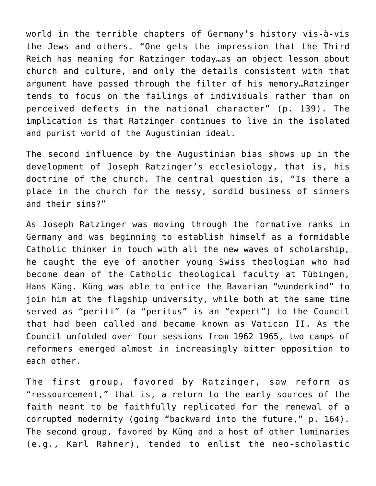world in the terrible chapters of Germany's history vis-à-vis the Jews and others. "One gets the impression that the Third Reich has meaning for Ratzinger today…as an object lesson about church and culture, and only the details consistent with that argument have passed through the filter of his memory…Ratzinger tends to focus on the failings of individuals rather than on perceived defects in the national character" (p. 139). The implication is that Ratzinger continues to live in the isolated and purist world of the Augustinian ideal.

The second influence by the Augustinian bias shows up in the development of Joseph Ratzinger's ecclesiology, that is, his doctrine of the church. The central question is, "Is there a place in the church for the messy, sordid business of sinners and their sins?"

As Joseph Ratzinger was moving through the formative ranks in Germany and was beginning to establish himself as a formidable Catholic thinker in touch with all the new waves of scholarship, he caught the eye of another young Swiss theologian who had become dean of the Catholic theological faculty at Tübingen, Hans Küng. Küng was able to entice the Bavarian "wunderkind" to join him at the flagship university, while both at the same time served as "periti" (a "peritus" is an "expert") to the Council that had been called and became known as Vatican II. As the Council unfolded over four sessions from 1962-1965, two camps of reformers emerged almost in increasingly bitter opposition to each other.

The first group, favored by Ratzinger, saw reform as "ressourcement," that is, a return to the early sources of the faith meant to be faithfully replicated for the renewal of a corrupted modernity (going "backward into the future," p. 164). The second group, favored by Küng and a host of other luminaries (e.g., Karl Rahner), tended to enlist the neo-scholastic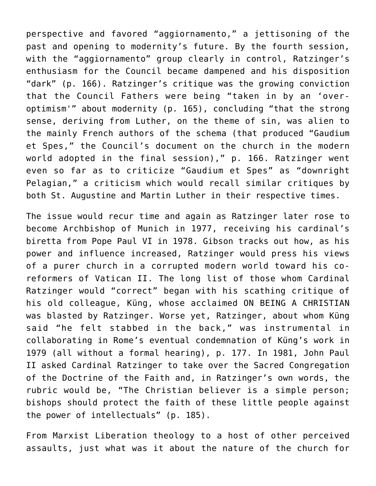perspective and favored "aggiornamento," a jettisoning of the past and opening to modernity's future. By the fourth session, with the "aggiornamento" group clearly in control, Ratzinger's enthusiasm for the Council became dampened and his disposition "dark" (p. 166). Ratzinger's critique was the growing conviction that the Council Fathers were being "taken in by an 'overoptimism'" about modernity (p. 165), concluding "that the strong sense, deriving from Luther, on the theme of sin, was alien to the mainly French authors of the schema (that produced "Gaudium et Spes," the Council's document on the church in the modern world adopted in the final session)," p. 166. Ratzinger went even so far as to criticize "Gaudium et Spes" as "downright Pelagian," a criticism which would recall similar critiques by both St. Augustine and Martin Luther in their respective times.

The issue would recur time and again as Ratzinger later rose to become Archbishop of Munich in 1977, receiving his cardinal's biretta from Pope Paul VI in 1978. Gibson tracks out how, as his power and influence increased, Ratzinger would press his views of a purer church in a corrupted modern world toward his coreformers of Vatican II. The long list of those whom Cardinal Ratzinger would "correct" began with his scathing critique of his old colleague, Küng, whose acclaimed ON BEING A CHRISTIAN was blasted by Ratzinger. Worse yet, Ratzinger, about whom Küng said "he felt stabbed in the back," was instrumental in collaborating in Rome's eventual condemnation of Küng's work in 1979 (all without a formal hearing), p. 177. In 1981, John Paul II asked Cardinal Ratzinger to take over the Sacred Congregation of the Doctrine of the Faith and, in Ratzinger's own words, the rubric would be, "The Christian believer is a simple person; bishops should protect the faith of these little people against the power of intellectuals" (p. 185).

From Marxist Liberation theology to a host of other perceived assaults, just what was it about the nature of the church for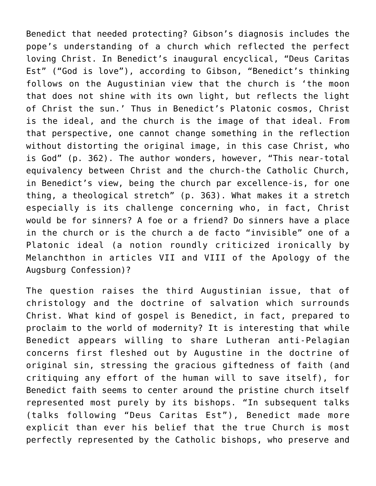Benedict that needed protecting? Gibson's diagnosis includes the pope's understanding of a church which reflected the perfect loving Christ. In Benedict's inaugural encyclical, "Deus Caritas Est" ("God is love"), according to Gibson, "Benedict's thinking follows on the Augustinian view that the church is 'the moon that does not shine with its own light, but reflects the light of Christ the sun.' Thus in Benedict's Platonic cosmos, Christ is the ideal, and the church is the image of that ideal. From that perspective, one cannot change something in the reflection without distorting the original image, in this case Christ, who is God" (p. 362). The author wonders, however, "This near-total equivalency between Christ and the church-the Catholic Church, in Benedict's view, being the church par excellence-is, for one thing, a theological stretch" (p. 363). What makes it a stretch especially is its challenge concerning who, in fact, Christ would be for sinners? A foe or a friend? Do sinners have a place in the church or is the church a de facto "invisible" one of a Platonic ideal (a notion roundly criticized ironically by Melanchthon in articles VII and VIII of the Apology of the Augsburg Confession)?

The question raises the third Augustinian issue, that of christology and the doctrine of salvation which surrounds Christ. What kind of gospel is Benedict, in fact, prepared to proclaim to the world of modernity? It is interesting that while Benedict appears willing to share Lutheran anti-Pelagian concerns first fleshed out by Augustine in the doctrine of original sin, stressing the gracious giftedness of faith (and critiquing any effort of the human will to save itself), for Benedict faith seems to center around the pristine church itself represented most purely by its bishops. "In subsequent talks (talks following "Deus Caritas Est"), Benedict made more explicit than ever his belief that the true Church is most perfectly represented by the Catholic bishops, who preserve and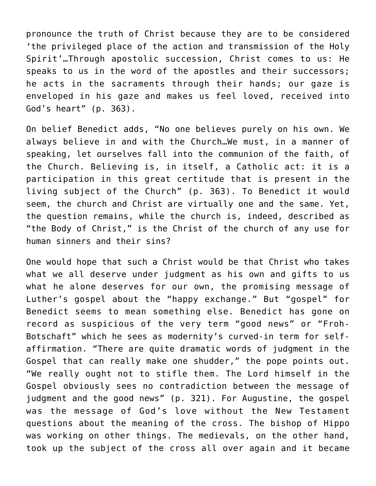pronounce the truth of Christ because they are to be considered 'the privileged place of the action and transmission of the Holy Spirit'…Through apostolic succession, Christ comes to us: He speaks to us in the word of the apostles and their successors; he acts in the sacraments through their hands; our gaze is enveloped in his gaze and makes us feel loved, received into God's heart" (p. 363).

On belief Benedict adds, "No one believes purely on his own. We always believe in and with the Church…We must, in a manner of speaking, let ourselves fall into the communion of the faith, of the Church. Believing is, in itself, a Catholic act: it is a participation in this great certitude that is present in the living subject of the Church" (p. 363). To Benedict it would seem, the church and Christ are virtually one and the same. Yet, the question remains, while the church is, indeed, described as "the Body of Christ," is the Christ of the church of any use for human sinners and their sins?

One would hope that such a Christ would be that Christ who takes what we all deserve under judgment as his own and gifts to us what he alone deserves for our own, the promising message of Luther's gospel about the "happy exchange." But "gospel" for Benedict seems to mean something else. Benedict has gone on record as suspicious of the very term "good news" or "Froh-Botschaft" which he sees as modernity's curved-in term for selfaffirmation. "There are quite dramatic words of judgment in the Gospel that can really make one shudder," the pope points out. "We really ought not to stifle them. The Lord himself in the Gospel obviously sees no contradiction between the message of judgment and the good news" (p. 321). For Augustine, the gospel was the message of God's love without the New Testament questions about the meaning of the cross. The bishop of Hippo was working on other things. The medievals, on the other hand, took up the subject of the cross all over again and it became